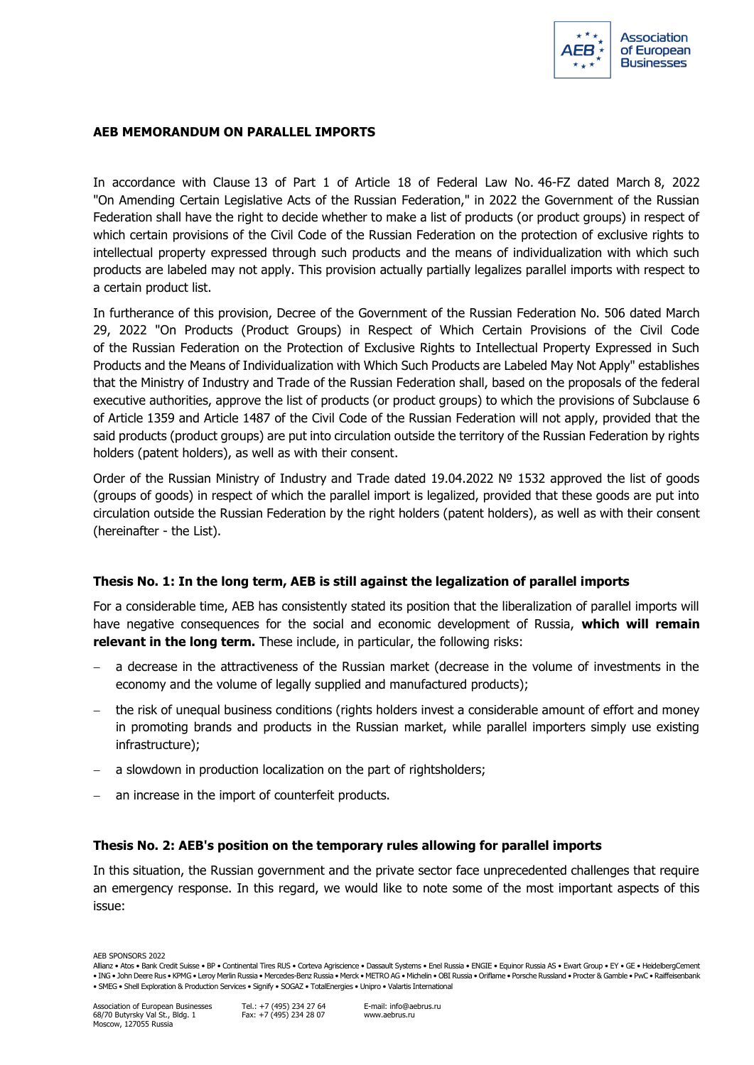

## **AEB MEMORANDUM ON PARALLEL IMPORTS**

In accordance with Clause 13 of Part 1 of Article 18 of Federal Law No. 46-FZ dated March 8, 2022 "On Amending Certain Legislative Acts of the Russian Federation," in 2022 the Government of the Russian Federation shall have the right to decide whether to make a list of products (or product groups) in respect of which certain provisions of the Civil Code of the Russian Federation on the protection of exclusive rights to intellectual property expressed through such products and the means of individualization with which such products are labeled may not apply. This provision actually partially legalizes parallel imports with respect to a certain product list.

In furtherance of this provision, Decree of the Government of the Russian Federation No. 506 dated March 29, 2022 "On Products (Product Groups) in Respect of Which Certain Provisions of the Civil Code of the Russian Federation on the Protection of Exclusive Rights to Intellectual Property Expressed in Such Products and the Means of Individualization with Which Such Products are Labeled May Not Apply" establishes that the Ministry of Industry and Trade of the Russian Federation shall, based on the proposals of the federal executive authorities, approve the list of products (or product groups) to which the provisions of Subclause 6 of Article 1359 and Article 1487 of the Civil Code of the Russian Federation will not apply, provided that the said products (product groups) are put into circulation outside the territory of the Russian Federation by rights holders (patent holders), as well as with their consent.

Order of the Russian Ministry of Industry and Trade dated 19.04.2022 № 1532 approved the list of goods (groups of goods) in respect of which the parallel import is legalized, provided that these goods are put into circulation outside the Russian Federation by the right holders (patent holders), as well as with their consent (hereinafter - the List).

### **Thesis No. 1: In the long term, AEB is still against the legalization of parallel imports**

For a considerable time, AEB has consistently stated its position that the liberalization of parallel imports will have negative consequences for the social and economic development of Russia, **which will remain relevant in the long term.** These include, in particular, the following risks:

- − a decrease in the attractiveness of the Russian market (decrease in the volume of investments in the economy and the volume of legally supplied and manufactured products);
- − the risk of unequal business conditions (rights holders invest a considerable amount of effort and money in promoting brands and products in the Russian market, while parallel importers simply use existing infrastructure);
- − a slowdown in production localization on the part of rightsholders;
- an increase in the import of counterfeit products.

### **Thesis No. 2: AEB's position on the temporary rules allowing for parallel imports**

In this situation, the Russian government and the private sector face unprecedented challenges that require an emergency response. In this regard, we would like to note some of the most important aspects of this issue:

AEB SPONSORS 2022

Allianz • Atos • Bank Credit Suisse • BP • Continental Tires RUS • Corteva Agriscience • Dassault Systems • Enel Russia • ENGIE • Equinor Russia AS • Ewart Group • EY • GE • HeidelbergCement • ING • John Deere Rus • KPMG • Leroy Merlin Russia • Mercedes-Benz Russia • Merck • METRO AG • Michelin • OBI Russia • Oriflame • Porsche Russland • Procter & Gamble • PwC • Raiffeisenbank • SMEG • Shell Exploration & Production Services • Signify • SOGAZ • TotalEnergies • Unipro • Valartis International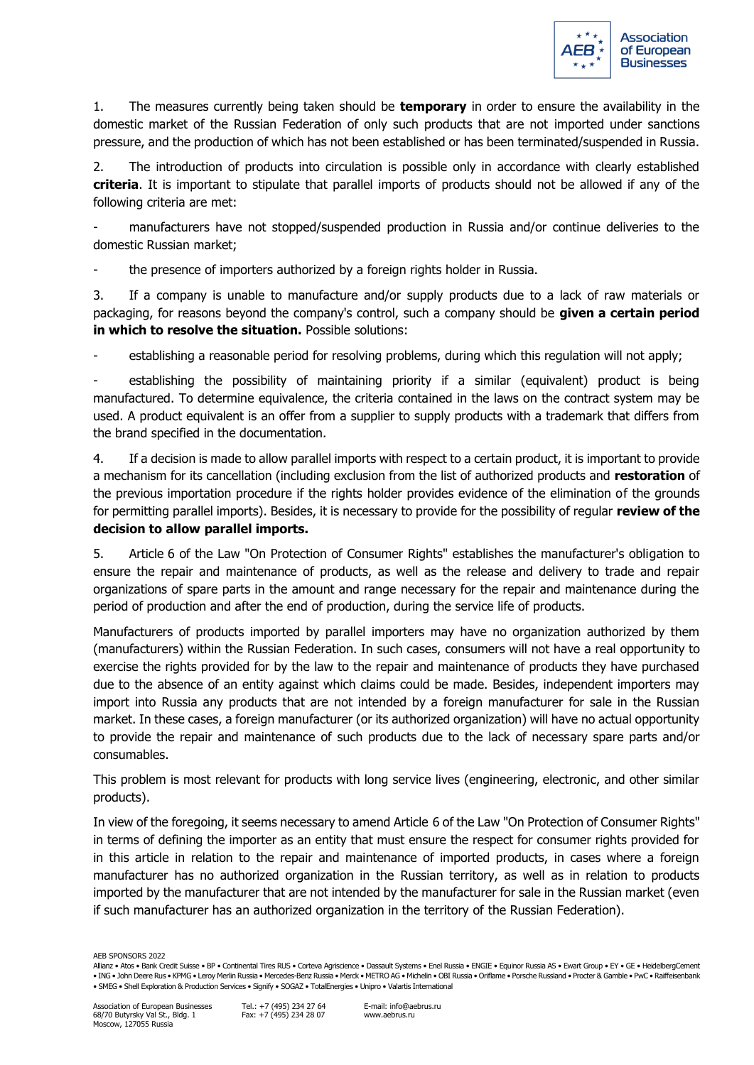

1. The measures currently being taken should be **temporary** in order to ensure the availability in the domestic market of the Russian Federation of only such products that are not imported under sanctions pressure, and the production of which has not been established or has been terminated/suspended in Russia.

2. The introduction of products into circulation is possible only in accordance with clearly established **criteria**. It is important to stipulate that parallel imports of products should not be allowed if any of the following criteria are met:

manufacturers have not stopped/suspended production in Russia and/or continue deliveries to the domestic Russian market;

the presence of importers authorized by a foreign rights holder in Russia.

3. If a company is unable to manufacture and/or supply products due to a lack of raw materials or packaging, for reasons beyond the company's control, such a company should be **given a certain period in which to resolve the situation.** Possible solutions:

establishing a reasonable period for resolving problems, during which this regulation will not apply;

establishing the possibility of maintaining priority if a similar (equivalent) product is being manufactured. To determine equivalence, the criteria contained in the laws on the contract system may be used. A product equivalent is an offer from a supplier to supply products with a trademark that differs from the brand specified in the documentation.

4. If a decision is made to allow parallel imports with respect to a certain product, it is important to provide a mechanism for its cancellation (including exclusion from the list of authorized products and **restoration** of the previous importation procedure if the rights holder provides evidence of the elimination of the grounds for permitting parallel imports). Besides, it is necessary to provide for the possibility of regular **review of the decision to allow parallel imports.**

5. Article 6 of the Law "On Protection of Consumer Rights" establishes the manufacturer's obligation to ensure the repair and maintenance of products, as well as the release and delivery to trade and repair organizations of spare parts in the amount and range necessary for the repair and maintenance during the period of production and after the end of production, during the service life of products.

Manufacturers of products imported by parallel importers may have no organization authorized by them (manufacturers) within the Russian Federation. In such cases, consumers will not have a real opportunity to exercise the rights provided for by the law to the repair and maintenance of products they have purchased due to the absence of an entity against which claims could be made. Besides, independent importers may import into Russia any products that are not intended by a foreign manufacturer for sale in the Russian market. In these cases, a foreign manufacturer (or its authorized organization) will have no actual opportunity to provide the repair and maintenance of such products due to the lack of necessary spare parts and/or consumables.

This problem is most relevant for products with long service lives (engineering, electronic, and other similar products).

In view of the foregoing, it seems necessary to amend Article 6 of the Law "On Protection of Consumer Rights" in terms of defining the importer as an entity that must ensure the respect for consumer rights provided for in this article in relation to the repair and maintenance of imported products, in cases where a foreign manufacturer has no authorized organization in the Russian territory, as well as in relation to products imported by the manufacturer that are not intended by the manufacturer for sale in the Russian market (even if such manufacturer has an authorized organization in the territory of the Russian Federation).

AEB SPONSORS 2022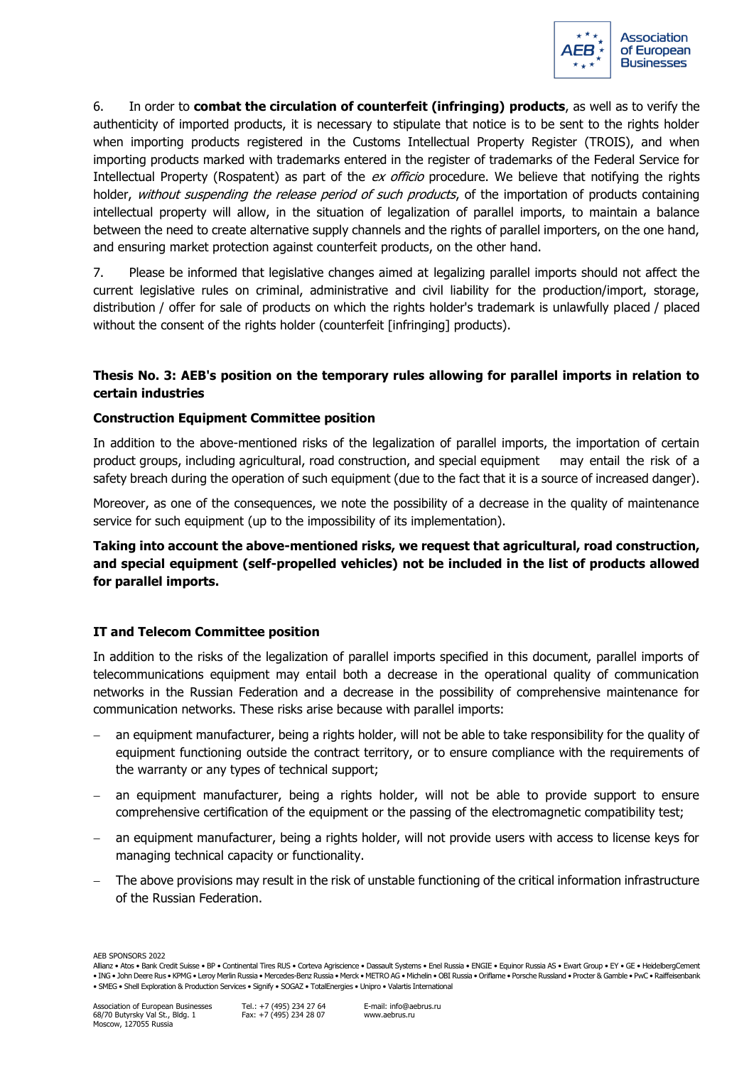

6. In order to **combat the circulation of counterfeit (infringing) products**, as well as to verify the authenticity of imported products, it is necessary to stipulate that notice is to be sent to the rights holder when importing products registered in the Customs Intellectual Property Register (TROIS), and when importing products marked with trademarks entered in the register of trademarks of the Federal Service for Intellectual Property (Rospatent) as part of the ex officio procedure. We believe that notifying the rights holder, without suspending the release period of such products, of the importation of products containing intellectual property will allow, in the situation of legalization of parallel imports, to maintain a balance between the need to create alternative supply channels and the rights of parallel importers, on the one hand, and ensuring market protection against counterfeit products, on the other hand.

7. Please be informed that legislative changes aimed at legalizing parallel imports should not affect the current legislative rules on criminal, administrative and civil liability for the production/import, storage, distribution / offer for sale of products on which the rights holder's trademark is unlawfully placed / placed without the consent of the rights holder (counterfeit [infringing] products).

# **Thesis No. 3: AEB's position on the temporary rules allowing for parallel imports in relation to certain industries**

## **Construction Equipment Committee position**

In addition to the above-mentioned risks of the legalization of parallel imports, the importation of certain product groups, including agricultural, road construction, and special equipment may entail the risk of a safety breach during the operation of such equipment (due to the fact that it is a source of increased danger).

Moreover, as one of the consequences, we note the possibility of a decrease in the quality of maintenance service for such equipment (up to the impossibility of its implementation).

**Taking into account the above-mentioned risks, we request that agricultural, road construction, and special equipment (self-propelled vehicles) not be included in the list of products allowed for parallel imports.**

### **IT and Telecom Committee position**

In addition to the risks of the legalization of parallel imports specified in this document, parallel imports of telecommunications equipment may entail both a decrease in the operational quality of communication networks in the Russian Federation and a decrease in the possibility of comprehensive maintenance for communication networks. These risks arise because with parallel imports:

- an equipment manufacturer, being a rights holder, will not be able to take responsibility for the quality of equipment functioning outside the contract territory, or to ensure compliance with the requirements of the warranty or any types of technical support;
- an equipment manufacturer, being a rights holder, will not be able to provide support to ensure comprehensive certification of the equipment or the passing of the electromagnetic compatibility test;
- an equipment manufacturer, being a rights holder, will not provide users with access to license keys for managing technical capacity or functionality.
- The above provisions may result in the risk of unstable functioning of the critical information infrastructure of the Russian Federation.

AEB SPONSORS 2022

Allianz • Atos • Bank Credit Suisse • BP • Continental Tires RUS • Corteva Agriscience • Dassault Systems • Enel Russia • ENGIE • Equinor Russia AS • Ewart Group • EY • GE • HeidelbergCement • ING • John Deere Rus • KPMG • Leroy Merlin Russia • Mercedes-Benz Russia • Merck • METRO AG • Michelin • OBI Russia • Oriflame • Porsche Russland • Procter & Gamble • PwC • Raiffeisenbank • SMEG • Shell Exploration & Production Services • Signify • SOGAZ • TotalEnergies • Unipro • Valartis International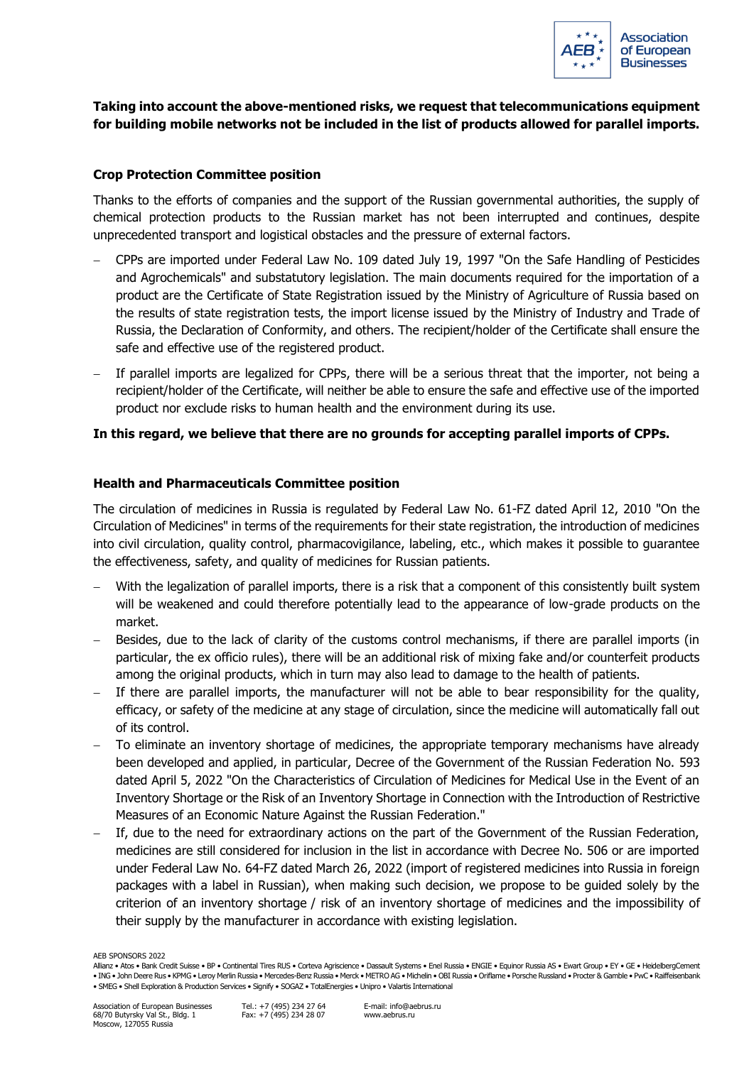

# **Taking into account the above-mentioned risks, we request that telecommunications equipment for building mobile networks not be included in the list of products allowed for parallel imports.**

## **Crop Protection Committee position**

Thanks to the efforts of companies and the support of the Russian governmental authorities, the supply of chemical protection products to the Russian market has not been interrupted and continues, despite unprecedented transport and logistical obstacles and the pressure of external factors.

- − CPPs are imported under Federal Law No. 109 dated July 19, 1997 "On the Safe Handling of Pesticides and Agrochemicals" and substatutory legislation. The main documents required for the importation of a product are the Certificate of State Registration issued by the Ministry of Agriculture of Russia based on the results of state registration tests, the import license issued by the Ministry of Industry and Trade of Russia, the Declaration of Conformity, and others. The recipient/holder of the Certificate shall ensure the safe and effective use of the registered product.
- − If parallel imports are legalized for CPPs, there will be a serious threat that the importer, not being a recipient/holder of the Certificate, will neither be able to ensure the safe and effective use of the imported product nor exclude risks to human health and the environment during its use.

## **In this regard, we believe that there are no grounds for accepting parallel imports of CPPs.**

### **Health and Pharmaceuticals Committee position**

The circulation of medicines in Russia is regulated by Federal Law No. 61-FZ dated April 12, 2010 "On the Circulation of Medicines" in terms of the requirements for their state registration, the introduction of medicines into civil circulation, quality control, pharmacovigilance, labeling, etc., which makes it possible to guarantee the effectiveness, safety, and quality of medicines for Russian patients.

- − With the legalization of parallel imports, there is a risk that a component of this consistently built system will be weakened and could therefore potentially lead to the appearance of low-grade products on the market.
- Besides, due to the lack of clarity of the customs control mechanisms, if there are parallel imports (in particular, the ex officio rules), there will be an additional risk of mixing fake and/or counterfeit products among the original products, which in turn may also lead to damage to the health of patients.
- If there are parallel imports, the manufacturer will not be able to bear responsibility for the quality, efficacy, or safety of the medicine at any stage of circulation, since the medicine will automatically fall out of its control.
- − To eliminate an inventory shortage of medicines, the appropriate temporary mechanisms have already been developed and applied, in particular, Decree of the Government of the Russian Federation No. 593 dated April 5, 2022 "On the Characteristics of Circulation of Medicines for Medical Use in the Event of an Inventory Shortage or the Risk of an Inventory Shortage in Connection with the Introduction of Restrictive Measures of an Economic Nature Against the Russian Federation."
- If, due to the need for extraordinary actions on the part of the Government of the Russian Federation, medicines are still considered for inclusion in the list in accordance with Decree No. 506 or are imported under Federal Law No. 64-FZ dated March 26, 2022 (import of registered medicines into Russia in foreign packages with a label in Russian), when making such decision, we propose to be guided solely by the criterion of an inventory shortage / risk of an inventory shortage of medicines and the impossibility of their supply by the manufacturer in accordance with existing legislation.

AEB SPONSORS 2022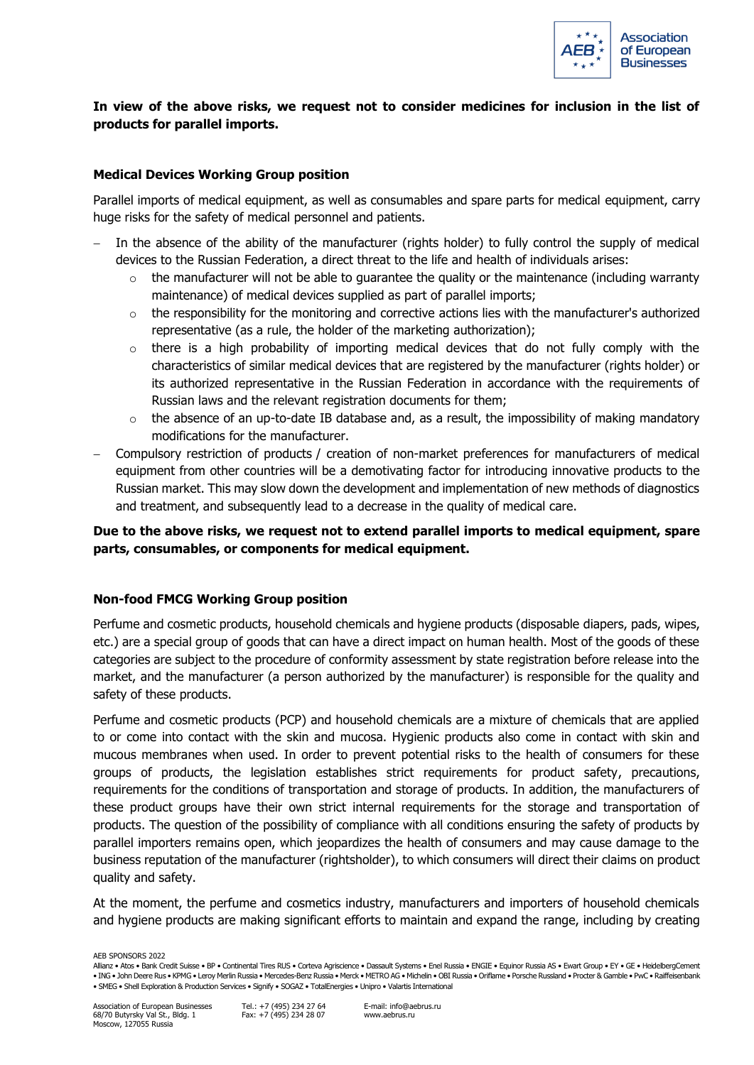

# **In view of the above risks, we request not to consider medicines for inclusion in the list of products for parallel imports.**

## **Medical Devices Working Group position**

Parallel imports of medical equipment, as well as consumables and spare parts for medical equipment, carry huge risks for the safety of medical personnel and patients.

- In the absence of the ability of the manufacturer (rights holder) to fully control the supply of medical devices to the Russian Federation, a direct threat to the life and health of individuals arises:
	- $\circ$  the manufacturer will not be able to guarantee the quality or the maintenance (including warranty maintenance) of medical devices supplied as part of parallel imports;
	- $\circ$  the responsibility for the monitoring and corrective actions lies with the manufacturer's authorized representative (as a rule, the holder of the marketing authorization);
	- $\circ$  there is a high probability of importing medical devices that do not fully comply with the characteristics of similar medical devices that are registered by the manufacturer (rights holder) or its authorized representative in the Russian Federation in accordance with the requirements of Russian laws and the relevant registration documents for them;
	- $\circ$  the absence of an up-to-date IB database and, as a result, the impossibility of making mandatory modifications for the manufacturer.
- − Compulsory restriction of products / creation of non-market preferences for manufacturers of medical equipment from other countries will be a demotivating factor for introducing innovative products to the Russian market. This may slow down the development and implementation of new methods of diagnostics and treatment, and subsequently lead to a decrease in the quality of medical care.

# **Due to the above risks, we request not to extend parallel imports to medical equipment, spare parts, consumables, or components for medical equipment.**

### **Non-food FMCG Working Group position**

Perfume and cosmetic products, household chemicals and hygiene products (disposable diapers, pads, wipes, etc.) are a special group of goods that can have a direct impact on human health. Most of the goods of these categories are subject to the procedure of conformity assessment by state registration before release into the market, and the manufacturer (a person authorized by the manufacturer) is responsible for the quality and safety of these products.

Perfume and cosmetic products (PCP) and household chemicals are a mixture of chemicals that are applied to or come into contact with the skin and mucosa. Hygienic products also come in contact with skin and mucous membranes when used. In order to prevent potential risks to the health of consumers for these groups of products, the legislation establishes strict requirements for product safety, precautions, requirements for the conditions of transportation and storage of products. In addition, the manufacturers of these product groups have their own strict internal requirements for the storage and transportation of products. The question of the possibility of compliance with all conditions ensuring the safety of products by parallel importers remains open, which jeopardizes the health of consumers and may cause damage to the business reputation of the manufacturer (rightsholder), to which consumers will direct their claims on product quality and safety.

At the moment, the perfume and cosmetics industry, manufacturers and importers of household chemicals and hygiene products are making significant efforts to maintain and expand the range, including by creating

AEB SPONSORS 2022